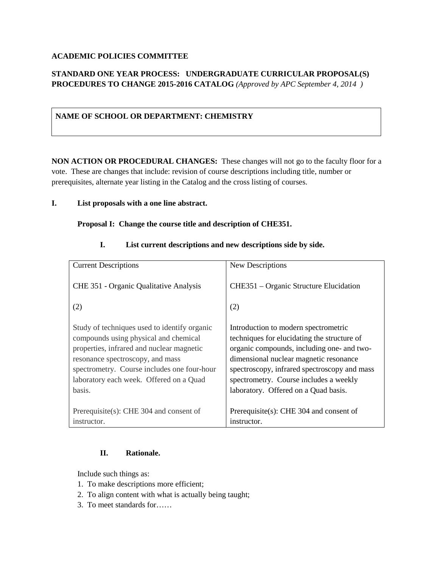### **ACADEMIC POLICIES COMMITTEE**

# **STANDARD ONE YEAR PROCESS: UNDERGRADUATE CURRICULAR PROPOSAL(S) PROCEDURES TO CHANGE 2015-2016 CATALOG** *(Approved by APC September 4, 2014 )*

## **NAME OF SCHOOL OR DEPARTMENT: CHEMISTRY**

**NON ACTION OR PROCEDURAL CHANGES:** These changes will not go to the faculty floor for a vote. These are changes that include: revision of course descriptions including title, number or prerequisites, alternate year listing in the Catalog and the cross listing of courses.

#### **I. List proposals with a one line abstract.**

#### **Proposal I: Change the course title and description of CHE351.**

| <b>Current Descriptions</b>                                                                                                                                                                                                                                                | New Descriptions                                                                                                                                                                                                                                                                                              |
|----------------------------------------------------------------------------------------------------------------------------------------------------------------------------------------------------------------------------------------------------------------------------|---------------------------------------------------------------------------------------------------------------------------------------------------------------------------------------------------------------------------------------------------------------------------------------------------------------|
| CHE 351 - Organic Qualitative Analysis<br>(2)                                                                                                                                                                                                                              | CHE351 – Organic Structure Elucidation<br>(2)                                                                                                                                                                                                                                                                 |
| Study of techniques used to identify organic<br>compounds using physical and chemical<br>properties, infrared and nuclear magnetic<br>resonance spectroscopy, and mass<br>spectrometry. Course includes one four-hour<br>laboratory each week. Offered on a Quad<br>basis. | Introduction to modern spectrometric<br>techniques for elucidating the structure of<br>organic compounds, including one- and two-<br>dimensional nuclear magnetic resonance<br>spectroscopy, infrared spectroscopy and mass<br>spectrometry. Course includes a weekly<br>laboratory. Offered on a Quad basis. |
| Prerequisite(s): CHE 304 and consent of                                                                                                                                                                                                                                    | Prerequisite(s): CHE 304 and consent of                                                                                                                                                                                                                                                                       |
| instructor.                                                                                                                                                                                                                                                                | instructor.                                                                                                                                                                                                                                                                                                   |

#### **I. List current descriptions and new descriptions side by side.**

## **II. Rationale.**

Include such things as:

- 1. To make descriptions more efficient;
- 2. To align content with what is actually being taught;
- 3. To meet standards for……